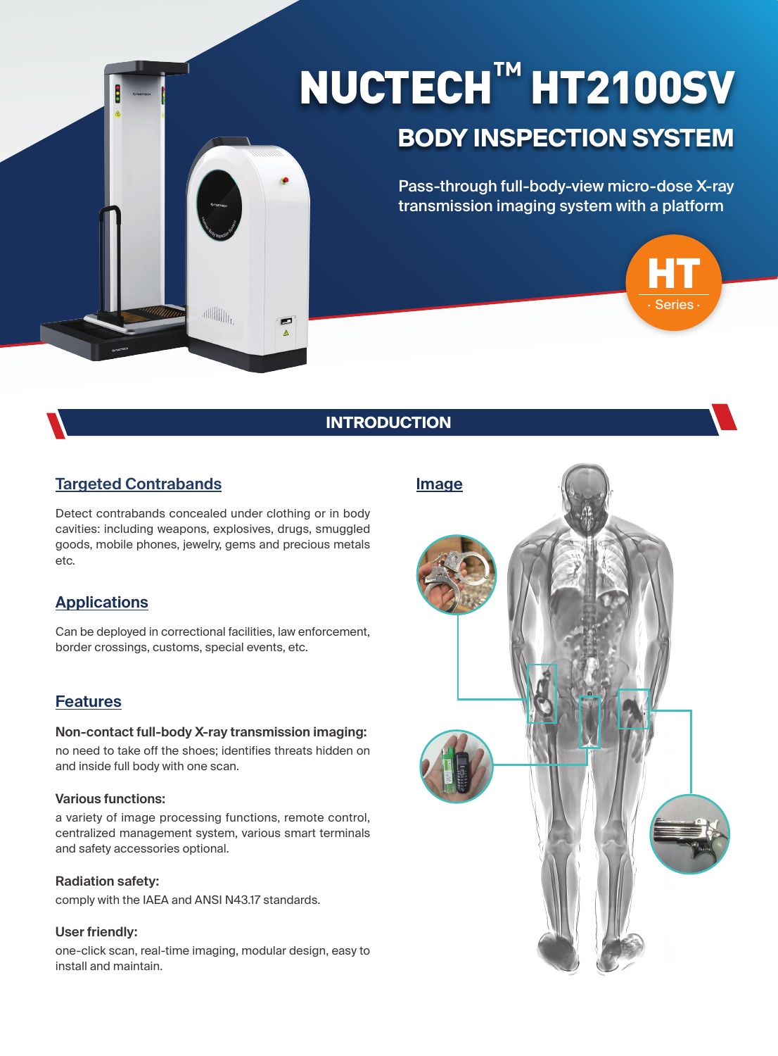# NUCTECH**™** HT2100SV

## **BODY INSPECTION SYSTEM**

Pass-through full-body-view micro-dose X-ray transmission imaging system with a platform



## **INTRODUCTION**

### **Targeted Contrabands**

Detect contrabands concealed under clothing or in body cavities: including weapons, explosives, drugs, smuggled goods, mobile phones, jewelry, gems and precious metals etc.

 $\begin{aligned} \begin{aligned} \text{and} \end{aligned} \end{aligned} \begin{aligned} \begin{aligned} \text{and} \end{aligned} \end{aligned} \begin{aligned} \begin{aligned} \text{and} \end{aligned} \begin{aligned} \begin{aligned} \text{and} \end{aligned} \end{aligned} \begin{aligned} \begin{aligned} \text{and} \end{aligned} \end{aligned} \begin{aligned} \begin{aligned} \text{and} \end{aligned} \end{aligned} \begin{aligned} \begin{aligned} \text{and} \end{aligned} \begin{aligned} \begin{aligned} \text{and} \end{aligned} \end{aligned} \begin{aligned} \begin{aligned} \text{and} \end{aligned} \begin{aligned} \text{and}$ 

#### **Applications**

Can be deployed in correctional facilities, law enforcement, border crossings, customs, special events, etc.

#### **Features**

#### **Non-contact full-body X-ray transmission imaging:**

no need to take off the shoes; identifies threats hidden on and inside full body with one scan.

#### **Various functions:**

a variety of image processing functions, remote control, centralized management system, various smart terminals and safety accessories optional.

#### **Radiation safety:**

comply with the IAEA and ANSI N43.17 standards.

#### **User friendly:**

one-click scan, real-time imaging, modular design, easy to install and maintain.